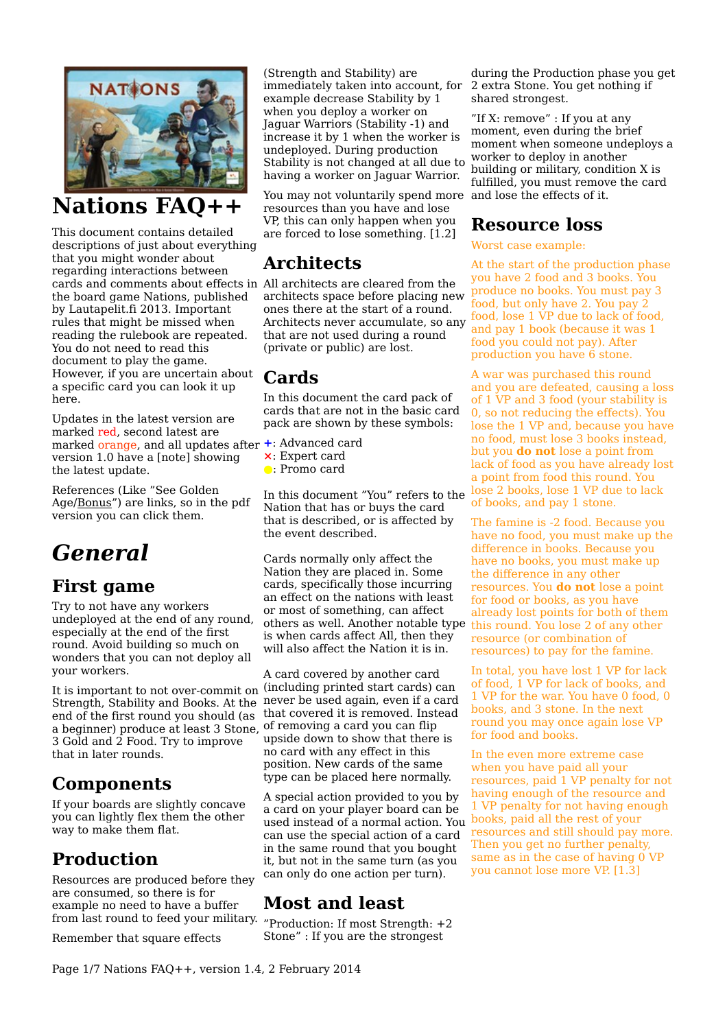

## **Nations FAQ++**

This document contains detailed descriptions of just about everything that you might wonder about regarding interactions between cards and comments about effects in All architects are cleared from the the board game Nations, published by Lautapelit.fi 2013. Important rules that might be missed when reading the rulebook are repeated. You do not need to read this document to play the game. However, if you are uncertain about a specific card you can look it up here.

Updates in the latest version are marked red, second latest are marked orange, and all updates after **+**: Advanced card version 1.0 have a [note] showing the latest update.

References (Like "See Golden Age[/Bonus"](#page-3-0)) are links, so in the pdf version you can click them.

# *General*

### **First game**

Try to not have any workers undeployed at the end of any round, especially at the end of the first round. Avoid building so much on wonders that you can not deploy all your workers.

It is important to not over-commit on (including printed start cards) can Strength, Stability and Books. At the never be used again, even if a card end of the first round you should (as a beginner) produce at least 3 Stone, 3 Gold and 2 Food. Try to improve that in later rounds.

### **Components**

If your boards are slightly concave you can lightly flex them the other way to make them flat.

## **Production**

Resources are produced before they are consumed, so there is for example no need to have a buffer from last round to feed your military.

Remember that square effects

(Strength and Stability) are immediately taken into account, for example decrease Stability by 1 when you deploy a worker on Jaguar Warriors (Stability -1) and increase it by 1 when the worker is undeployed. During production Stability is not changed at all due to having a worker on Jaguar Warrior.

You may not voluntarily spend more and lose the effects of it. resources than you have and lose VP, this can only happen when you are forced to lose something.  $[1.2]$ 

## **Architects**

architects space before placing new ones there at the start of a round. Architects never accumulate, so any that are not used during a round (private or public) are lost.

### **Cards**

In this document the card pack of cards that are not in the basic card pack are shown by these symbols:

- 
- **⨯**: Expert card
- **●**: Promo card

In this document "You" refers to the Nation that has or buys the card that is described, or is affected by the event described.

Cards normally only affect the Nation they are placed in. Some cards, specifically those incurring an effect on the nations with least or most of something, can affect others as well. Another notable type is when cards affect All, then they will also affect the Nation it is in.

A card covered by another card that covered it is removed. Instead of removing a card you can flip upside down to show that there is no card with any effect in this position. New cards of the same type can be placed here normally.

A special action provided to you by a card on your player board can be used instead of a normal action. You can use the special action of a card in the same round that you bought it, but not in the same turn (as you can only do one action per turn).

## <span id="page-0-0"></span>**Most and least**

"Production: If most Strength: +2 Stone" : If you are the strongest

during the Production phase you get 2 extra Stone. You get nothing if shared strongest.

"If X: remove" : If you at any moment, even during the brief moment when someone undeploys a worker to deploy in another building or military, condition X is fulfilled, you must remove the card

### **Resource loss**

#### Worst case example:

At the start of the production phase you have 2 food and 3 books. You produce no books. You must pay 3 food, but only have 2. You pay 2 food, lose 1 VP due to lack of food, and pay 1 book (because it was 1 food you could not pay). After production you have 6 stone.

A war was purchased this round and you are defeated, causing a loss of 1 VP and 3 food (your stability is 0, so not reducing the effects). You lose the 1 VP and, because you have no food, must lose 3 books instead, but you **do not** lose a point from lack of food as you have already lost a point from food this round. You lose 2 books, lose 1 VP due to lack of books, and pay 1 stone.

The famine is -2 food. Because you have no food, you must make up the difference in books. Because you have no books, you must make up the difference in any other resources. You **do not** lose a point for food or books, as you have already lost points for both of them this round. You lose 2 of any other resource (or combination of resources) to pay for the famine.

In total, you have lost 1 VP for lack of food, 1 VP for lack of books, and 1 VP for the war. You have 0 food, 0 books, and 3 stone. In the next round you may once again lose VP for food and books.

In the even more extreme case when you have paid all your resources, paid 1 VP penalty for not having enough of the resource and 1 VP penalty for not having enough books, paid all the rest of your resources and still should pay more. Then you get no further penalty, same as in the case of having 0 VP you cannot lose more VP. [1.3]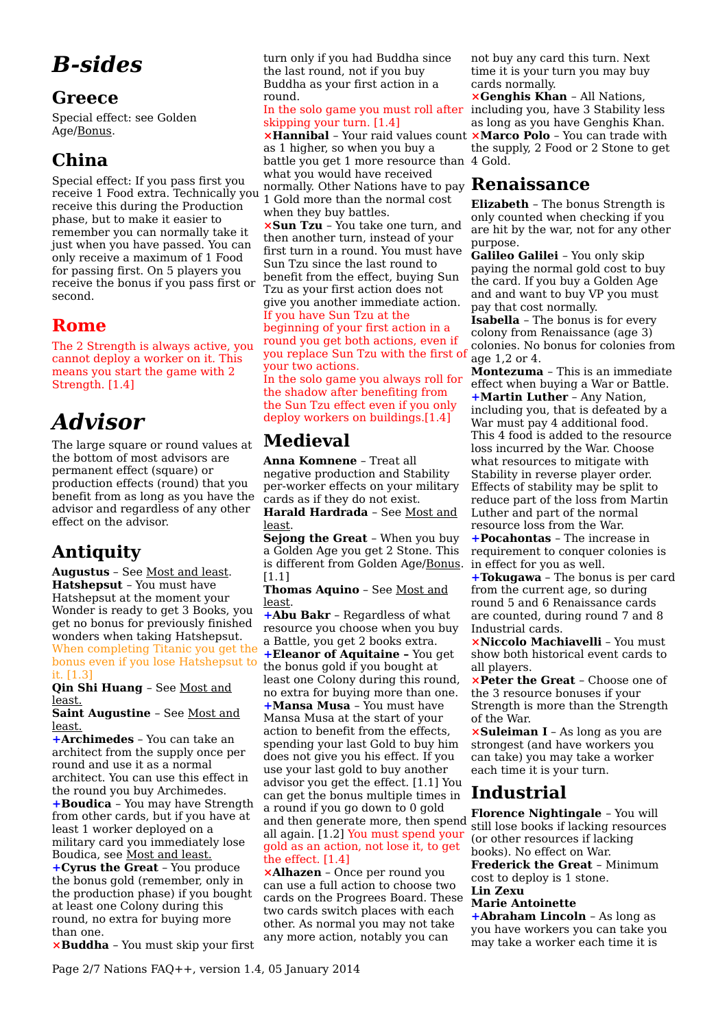# *B-sides*

### **Greece**

Special effect: see Golden Age[/Bonus.](#page-3-0)

## **China**

Special effect: If you pass first you receive 1 Food extra. Technically you receive this during the Production phase, but to make it easier to remember you can normally take it just when you have passed. You can only receive a maximum of 1 Food for passing first. On 5 players you receive the bonus if you pass first or second.

### **Rome**

The 2 Strength is always active, you cannot deploy a worker on it. This means you start the game with 2 Strength. [1.4]

# *Advisor*

The large square or round values at the bottom of most advisors are permanent effect (square) or production effects (round) that you benefit from as long as you have the advisor and regardless of any other effect on the advisor.

### **Antiquity**

**Augustus** – See [Most and least.](#page-0-0) **Hatshepsut** – You must have Hatshepsut at the moment your Wonder is ready to get 3 Books, you get no bonus for previously finished wonders when taking Hatshepsut. When completing Titanic you get the bonus even if you lose Hatshepsut to it. [1.3]

**Qin Shi Huang** – See [Most and](#page-0-0)  [least.](#page-0-0)

**Saint Augustine** – See [Most and](#page-0-0)  [least.](#page-0-0)

**+Archimedes** – You can take an architect from the supply once per round and use it as a normal architect. You can use this effect in the round you buy Archimedes. **+Boudica** – You may have Strength from other cards, but if you have at least 1 worker deployed on a military card you immediately lose Boudica, see [Most and least.](#page-0-0) **+Cyrus the Great** – You produce

the bonus gold (remember, only in the production phase) if you bought at least one Colony during this round, no extra for buying more than one.

**⨯Buddha** – You must skip your first

turn only if you had Buddha since the last round, not if you buy Buddha as your first action in a round.

In the solo game you must roll after skipping your turn. [1.4]

**⨯Hannibal** – Your raid values count as 1 higher, so when you buy a battle you get 1 more resource than 4 Gold. what you would have received normally. Other Nations have to pay **Renaissance** 1 Gold more than the normal cost when they buy battles.

**⨯Sun Tzu** – You take one turn, and then another turn, instead of your first turn in a round. You must have Sun Tzu since the last round to benefit from the effect, buying Sun Tzu as your first action does not give you another immediate action.

If you have Sun Tzu at the beginning of your first action in a round you get both actions, even if you replace Sun Tzu with the first of your two actions.

In the solo game you always roll for the shadow after benefiting from the Sun Tzu effect even if you only deploy workers on buildings.[1.4]

## **Medieval**

**Anna Komnene** – Treat all negative production and Stability per-worker effects on your military cards as if they do not exist.

**Harald Hardrada** – See [Most and](#page-0-0) [least.](#page-0-0)

**Sejong the Great** – When you buy a Golden Age you get 2 Stone. This is different from Golden Age[/Bonus.](#page-3-0) [1.1]

**Thomas Aquino** – See [Most and](#page-0-0) [least.](#page-0-0)

**+Abu Bakr** – Regardless of what resource you choose when you buy a Battle, you get 2 books extra. **+Eleanor of Aquitaine –** You get the bonus gold if you bought at least one Colony during this round, no extra for buying more than one.

**+Mansa Musa** – You must have Mansa Musa at the start of your action to benefit from the effects, spending your last Gold to buy him does not give you his effect. If you use your last gold to buy another advisor you get the effect. [1.1] You can get the bonus multiple times in a round if you go down to 0 gold and then generate more, then spend all again. [1.2] You must spend your gold as an action, not lose it, to get the effect. [1.4]

**⨯Alhazen** – Once per round you can use a full action to choose two cards on the Progrees Board. These two cards switch places with each other. As normal you may not take any more action, notably you can

not buy any card this turn. Next time it is your turn you may buy cards normally.

**⨯Genghis Khan** – All Nations, including you, have 3 Stability less as long as you have Genghis Khan. **⨯Marco Polo** – You can trade with the supply, 2 Food or 2 Stone to get

**Elizabeth** – The bonus Strength is only counted when checking if you are hit by the war, not for any other purpose.

**Galileo Galilei** – You only skip paying the normal gold cost to buy the card. If you buy a Golden Age and and want to buy VP you must pay that cost normally.

**Isabella** – The bonus is for every colony from Renaissance (age 3) colonies. No bonus for colonies from age  $1,2$  or  $4$ .

**Montezuma** – This is an immediate effect when buying a War or Battle. **+Martin Luther** – Any Nation, including you, that is defeated by a War must pay 4 additional food. This 4 food is added to the resource loss incurred by the War. Choose what resources to mitigate with Stability in reverse player order. Effects of stability may be split to reduce part of the loss from Martin Luther and part of the normal resource loss from the War.

**+Pocahontas** – The increase in requirement to conquer colonies is in effect for you as well.

**+Tokugawa** – The bonus is per card from the current age, so during round 5 and 6 Renaissance cards are counted, during round 7 and 8 Industrial cards.

**⨯Niccolo Machiavelli** – You must show both historical event cards to all players.

**⨯Peter the Great** – Choose one of the 3 resource bonuses if your Strength is more than the Strength of the War.

**⨯Suleiman I** – As long as you are strongest (and have workers you can take) you may take a worker each time it is your turn.

### **Industrial**

**Florence Nightingale** – You will still lose books if lacking resources (or other resources if lacking books). No effect on War. **Frederick the Great** – Minimum cost to deploy is 1 stone. **Lin Zexu** 

#### **Marie Antoinette**

**+Abraham Lincoln** – As long as you have workers you can take you may take a worker each time it is

Page 2/7 Nations FAQ++, version 1.4, 05 January 2014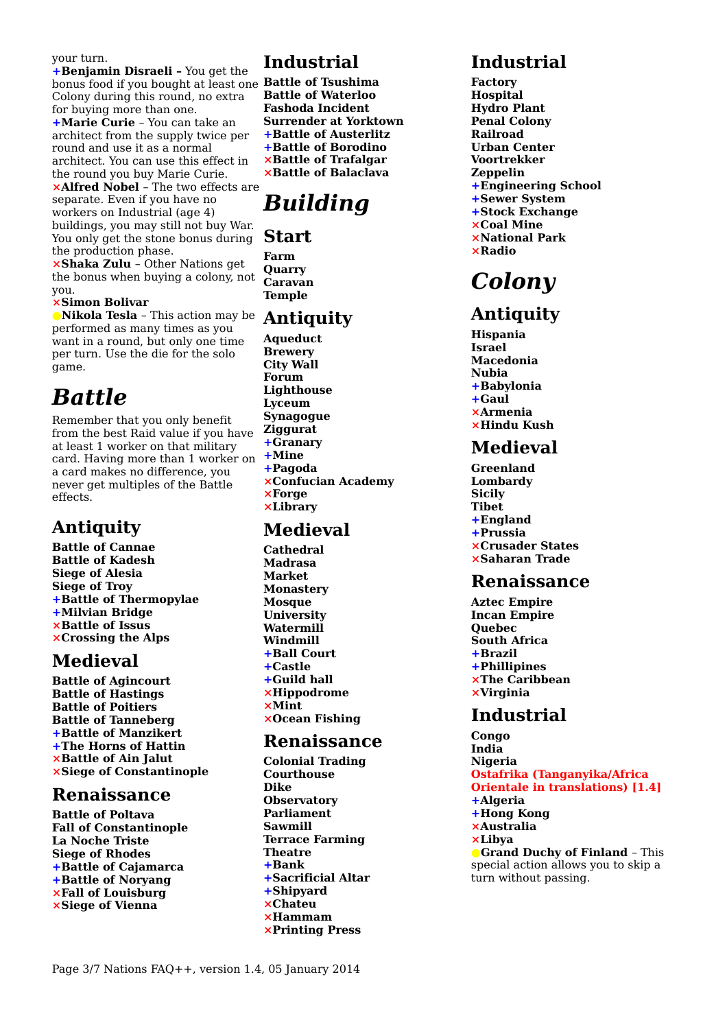#### your turn.

**+Benjamin Disraeli –** You get the bonus food if you bought at least one **Battle of Tsushima**  Colony during this round, no extra for buying more than one. **+Marie Curie** – You can take an architect from the supply twice per round and use it as a normal architect. You can use this effect in

the round you buy Marie Curie. **⨯Alfred Nobel** – The two effects are separate. Even if you have no workers on Industrial (age 4) buildings, you may still not buy War. You only get the stone bonus during the production phase.

**⨯Shaka Zulu** – Other Nations get the bonus when buying a colony, not you.

#### **⨯Simon Bolivar**

**●Nikola Tesla** – This action may be performed as many times as you want in a round, but only one time per turn. Use the die for the solo game.

## *Battle*

Remember that you only benefit from the best Raid value if you have at least 1 worker on that military card. Having more than 1 worker on a card makes no difference, you never get multiples of the Battle effects.

#### **Antiquity**

**Battle of Cannae Battle of Kadesh Siege of Alesia Siege of Troy +Battle of Thermopylae +Milvian Bridge ⨯Battle of Issus ⨯Crossing the Alps** 

### **Medieval**

**Battle of Agincourt Battle of Hastings Battle of Poitiers Battle of Tanneberg +Battle of Manzikert +The Horns of Hattin ⨯Battle of Ain Jalut ⨯Siege of Constantinople** 

#### **Renaissance**

**Battle of Poltava Fall of Constantinople La Noche Triste Siege of Rhodes +Battle of Cajamarca +Battle of Noryang ⨯Fall of Louisburg ⨯Siege of Vienna** 

## **Industrial**

**Battle of Waterloo Fashoda Incident Surrender at Yorktown +Battle of Austerlitz +Battle of Borodino ⨯Battle of Trafalgar ⨯Battle of Balaclava**

# *Building*

#### **Start**

**Farm Quarry Caravan Temple**

#### **Antiquity**

**Aqueduct Brewery City Wall Forum Lighthouse Lyceum Synagogue Ziggurat +Granary +Mine +Pagoda ⨯Confucian Academy ⨯Forge ⨯Library** 

#### **Medieval**

**Cathedral Madrasa Market Monastery Mosque University Watermill Windmill +Ball Court +Castle +Guild hall ⨯Hippodrome ⨯Mint ⨯Ocean Fishing** 

#### **Renaissance**

**Colonial Trading Courthouse Dike Observatory Parliament Sawmill Terrace Farming Theatre +Bank +Sacrificial Altar +Shipyard ⨯Chateu ⨯Hammam ⨯Printing Press** 

### **Industrial**

**Factory Hospital Hydro Plant Penal Colony Railroad Urban Center Voortrekker Zeppelin +Engineering School +Sewer System +Stock Exchange ⨯Coal Mine ⨯National Park ⨯Radio** 

# *Colony*

### **Antiquity**

**Hispania Israel Macedonia Nubia +Babylonia +Gaul ⨯Armenia ⨯Hindu Kush** 

### **Medieval**

**Greenland Lombardy Sicily Tibet +England +Prussia ⨯Crusader States ⨯Saharan Trade** 

#### **Renaissance**

**Aztec Empire Incan Empire Quebec South Africa +Brazil +Phillipines ⨯The Caribbean ⨯Virginia** 

#### **Industrial**

**Congo India Nigeria Ostafrika (Tanganyika/Africa Orientale in translations) [1.4] +Algeria +Hong Kong ⨯Australia ⨯Libya ●Grand Duchy of Finland** – This special action allows you to skip a turn without passing.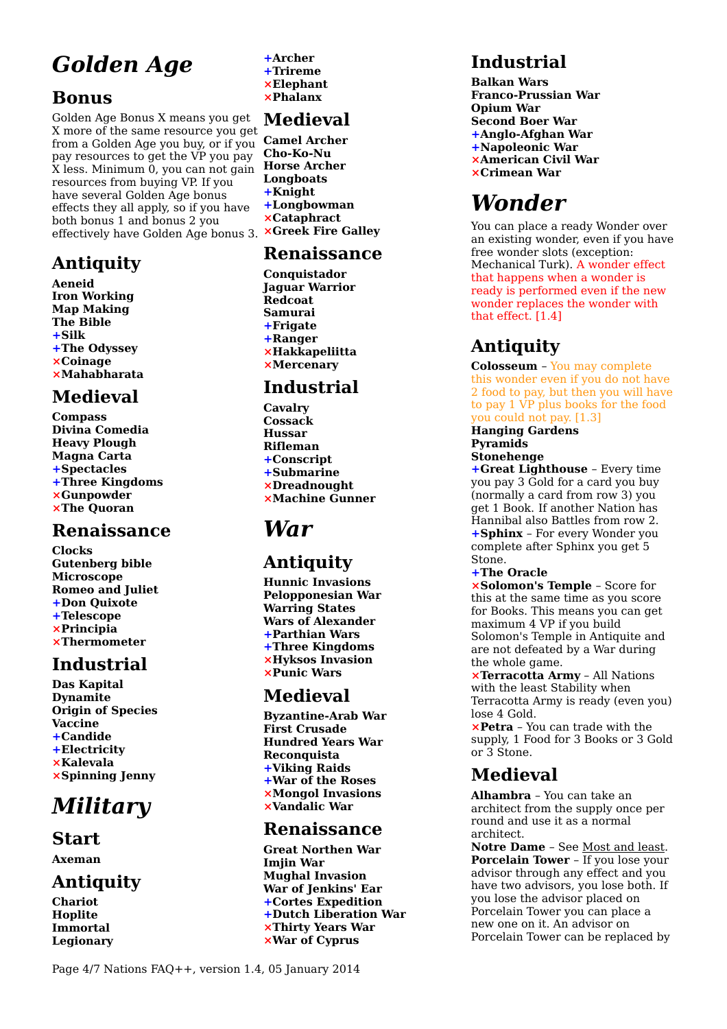# *Golden Age*

## <span id="page-3-0"></span>**Bonus**

Golden Age Bonus X means you get X more of the same resource you get from a Golden Age you buy, or if you pay resources to get the VP you pay X less. Minimum 0, you can not gain **Horse Archer**  resources from buying VP. If you have several Golden Age bonus effects they all apply, so if you have both bonus 1 and bonus 2 you effectively have Golden Age bonus 3. **⨯Greek Fire Galley** 

## **Antiquity**

**Aeneid Iron Working Map Making The Bible +Silk +The Odyssey ⨯Coinage ⨯Mahabharata**

## **Medieval**

**Compass Divina Comedia Heavy Plough Magna Carta +Spectacles +Three Kingdoms ⨯Gunpowder ⨯The Quoran** 

### **Renaissance**

**Clocks Gutenberg bible Microscope Romeo and Juliet +Don Quixote +Telescope ⨯Principia ⨯Thermometer** 

### **Industrial**

**Das Kapital Dynamite Origin of Species Vaccine +Candide +Electricity ⨯Kalevala ⨯Spinning Jenny** 

# *Military*

### **Start**

**Axeman**

## **Antiquity**

**Chariot Hoplite Immortal Legionary**  **+Archer +Trireme ⨯Elephant ⨯Phalanx** 

### **Medieval**

**Camel Archer Cho-Ko-Nu Longboats +Knight +Longbowman ⨯Cataphract** 

### **Renaissance**

**Conquistador Jaguar Warrior Redcoat Samurai +Frigate +Ranger ⨯Hakkapeliitta ⨯Mercenary** 

### **Industrial**

**Cavalry Cossack Hussar Rifleman +Conscript +Submarine ⨯Dreadnought ⨯Machine Gunner** 

# *War*

## **Antiquity**

**Hunnic Invasions Pelopponesian War Warring States Wars of Alexander +Parthian Wars +Three Kingdoms ⨯Hyksos Invasion ⨯Punic Wars** 

### **Medieval**

**Byzantine-Arab War First Crusade Hundred Years War Reconquista +Viking Raids +War of the Roses ⨯Mongol Invasions ⨯Vandalic War** 

### **Renaissance**

**Great Northen War Imjin War Mughal Invasion War of Jenkins' Ear +Cortes Expedition +Dutch Liberation War ⨯Thirty Years War ⨯War of Cyprus** 

## **Industrial**

**Balkan Wars Franco-Prussian War Opium War Second Boer War +Anglo-Afghan War +Napoleonic War ⨯American Civil War ⨯Crimean War** 

# *Wonder*

You can place a ready Wonder over an existing wonder, even if you have free wonder slots (exception: Mechanical Turk). A wonder effect that happens when a wonder is ready is performed even if the new wonder replaces the wonder with that effect. [1.4]

## **Antiquity**

**Colosseum** – You may complete this wonder even if you do not have 2 food to pay, but then you will have to pay 1 VP plus books for the food you could not pay. [1.3]

#### **Hanging Gardens Pyramids Stonehenge**

**+Great Lighthouse** – Every time you pay 3 Gold for a card you buy (normally a card from row 3) you get 1 Book. If another Nation has Hannibal also Battles from row 2. **+Sphinx** – For every Wonder you complete after Sphinx you get 5 Stone.

**+The Oracle** 

**⨯Solomon's Temple** – Score for this at the same time as you score for Books. This means you can get maximum 4 VP if you build Solomon's Temple in Antiquite and are not defeated by a War during the whole game.

**⨯Terracotta Army** – All Nations with the least Stability when Terracotta Army is ready (even you) lose 4 Gold.

**⨯Petra** – You can trade with the supply, 1 Food for 3 Books or 3 Gold or 3 Stone.

### **Medieval**

**Alhambra** – You can take an architect from the supply once per round and use it as a normal architect.

**Notre Dame** – See [Most and least.](#page-0-0) **Porcelain Tower** – If you lose your advisor through any effect and you have two advisors, you lose both. If you lose the advisor placed on Porcelain Tower you can place a new one on it. An advisor on Porcelain Tower can be replaced by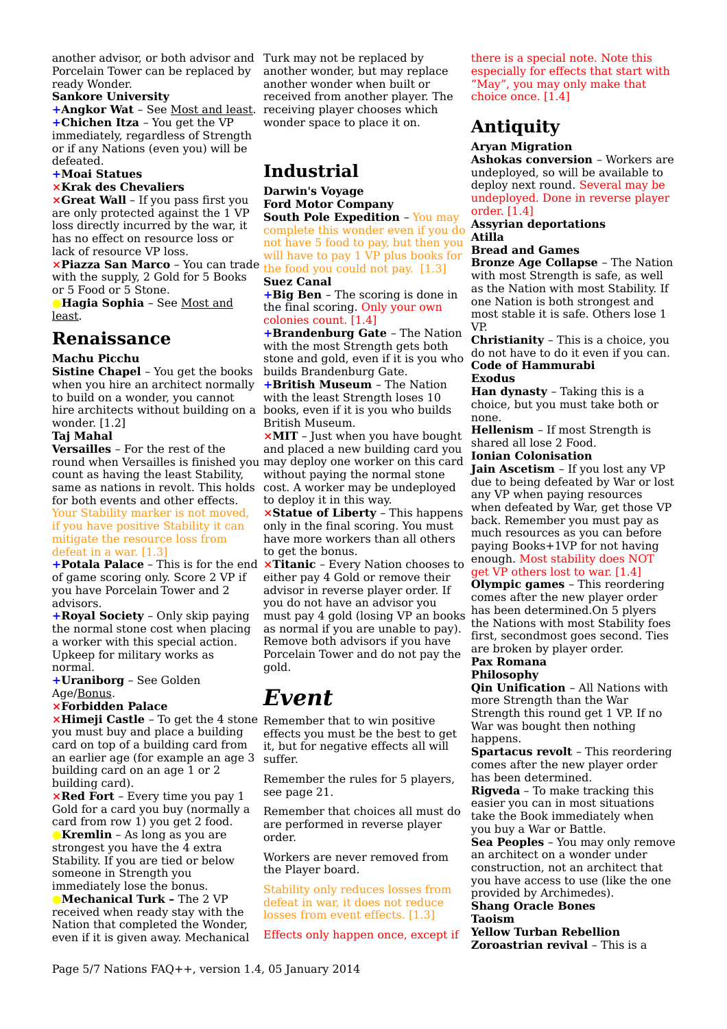another advisor, or both advisor and Turk may not be replaced by Porcelain Tower can be replaced by ready Wonder.

#### **Sankore University**

**+Angkor Wat** – See [Most and least.](#page-0-0) **+Chichen Itza** – You get the VP immediately, regardless of Strength or if any Nations (even you) will be defeated.

#### **+Moai Statues**

#### **⨯Krak des Chevaliers**

**⨯Great Wall** – If you pass first you are only protected against the 1 VP loss directly incurred by the war, it has no effect on resource loss or lack of resource VP loss.

**⨯Piazza San Marco** – You can trade the food you could not pay. [1.3] with the supply, 2 Gold for 5 Books or 5 Food or 5 Stone.

**●Hagia Sophia** – See [Most and](#page-0-0) [least.](#page-0-0)

#### **Renaissance**

#### **Machu Picchu**

**Sistine Chapel** – You get the books when you hire an architect normally to build on a wonder, you cannot hire architects without building on a wonder. [1.2]

#### **Taj Mahal**

**Versailles** – For the rest of the round when Versailles is finished you may deploy one worker on this card count as having the least Stability, same as nations in revolt. This holds for both events and other effects. Your Stability marker is not moved, if you have positive Stability it can mitigate the resource loss from defeat in a war. [1.3]

**+Potala Palace** - This is for the end **×Titanic** - Every Nation chooses to of game scoring only. Score 2 VP if you have Porcelain Tower and 2 advisors.

**+Royal Society** – Only skip paying the normal stone cost when placing a worker with this special action. Upkeep for military works as normal.

**+Uraniborg** – See Golden Age[/Bonus.](#page-3-0)

#### **⨯Forbidden Palace**

**×Himeji Castle** - To get the 4 stone Remember that to win positive you must buy and place a building card on top of a building card from an earlier age (for example an age 3 building card on an age 1 or 2 building card).

**⨯Red Fort** – Every time you pay 1 Gold for a card you buy (normally a card from row 1) you get 2 food.

**●Kremlin** – As long as you are strongest you have the 4 extra Stability. If you are tied or below someone in Strength you immediately lose the bonus.

**●Mechanical Turk –** The 2 VP received when ready stay with the Nation that completed the Wonder, even if it is given away. Mechanical another wonder, but may replace another wonder when built or received from another player. The receiving player chooses which wonder space to place it on.

### **Industrial**

#### **Darwin's Voyage Ford Motor Company**

**South Pole Expedition** – You may complete this wonder even if you do not have 5 food to pay, but then you will have to pay 1 VP plus books for **Suez Canal** 

**+Big Ben** – The scoring is done in the final scoring. Only your own colonies count. [1.4]

**+Brandenburg Gate** – The Nation with the most Strength gets both stone and gold, even if it is you who builds Brandenburg Gate.

**+British Museum** – The Nation with the least Strength loses 10 books, even if it is you who builds British Museum.

**⨯MIT** – Just when you have bought and placed a new building card you without paying the normal stone cost. A worker may be undeployed to deploy it in this way.

**⨯Statue of Liberty** – This happens only in the final scoring. You must have more workers than all others to get the bonus.

either pay 4 Gold or remove their advisor in reverse player order. If you do not have an advisor you must pay 4 gold (losing VP an books as normal if you are unable to pay). Remove both advisors if you have Porcelain Tower and do not pay the gold.

## *Event*

effects you must be the best to get it, but for negative effects all will suffer.

Remember the rules for 5 players, see page 21.

Remember that choices all must do are performed in reverse player order.

Workers are never removed from the Player board.

Stability only reduces losses from defeat in war, it does not reduce losses from event effects. [1.3]

Effects only happen once, except if

there is a special note. Note this especially for effects that start with "May", you may only make that choice once. [1.4]

### **Antiquity**

#### **Aryan Migration**

**Ashokas conversion** – Workers are undeployed, so will be available to deploy next round. Several may be undeployed. Done in reverse player order. [1.4]

#### **Assyrian deportations Atilla**

#### **Bread and Games**

**Bronze Age Collapse** – The Nation with most Strength is safe, as well as the Nation with most Stability. If one Nation is both strongest and most stable it is safe. Others lose 1 VP.

**Christianity** – This is a choice, you do not have to do it even if you can. **Code of Hammurabi** 

#### **Exodus**

**Han dynasty** – Taking this is a choice, but you must take both or none.

**Hellenism** – If most Strength is shared all lose 2 Food.

#### **Ionian Colonisation**

**Jain Ascetism** – If you lost any VP due to being defeated by War or lost any VP when paying resources when defeated by War, get those VP back. Remember you must pay as much resources as you can before paying Books+1VP for not having enough. Most stability does NOT get VP others lost to war. [1.4]

**Olympic games** – This reordering comes after the new player order has been determined.On 5 plyers the Nations with most Stability foes first, secondmost goes second. Ties are broken by player order.

#### **Pax Romana Philosophy**

**Qin Unification** – All Nations with more Strength than the War Strength this round get 1 VP. If no War was bought then nothing happens.

**Spartacus revolt** – This reordering comes after the new player order has been determined.

**Rigveda** – To make tracking this easier you can in most situations take the Book immediately when you buy a War or Battle.

**Sea Peoples** – You may only remove an architect on a wonder under construction, not an architect that you have access to use (like the one provided by Archimedes).

#### **Shang Oracle Bones Taoism**

**Yellow Turban Rebellion Zoroastrian revival** – This is a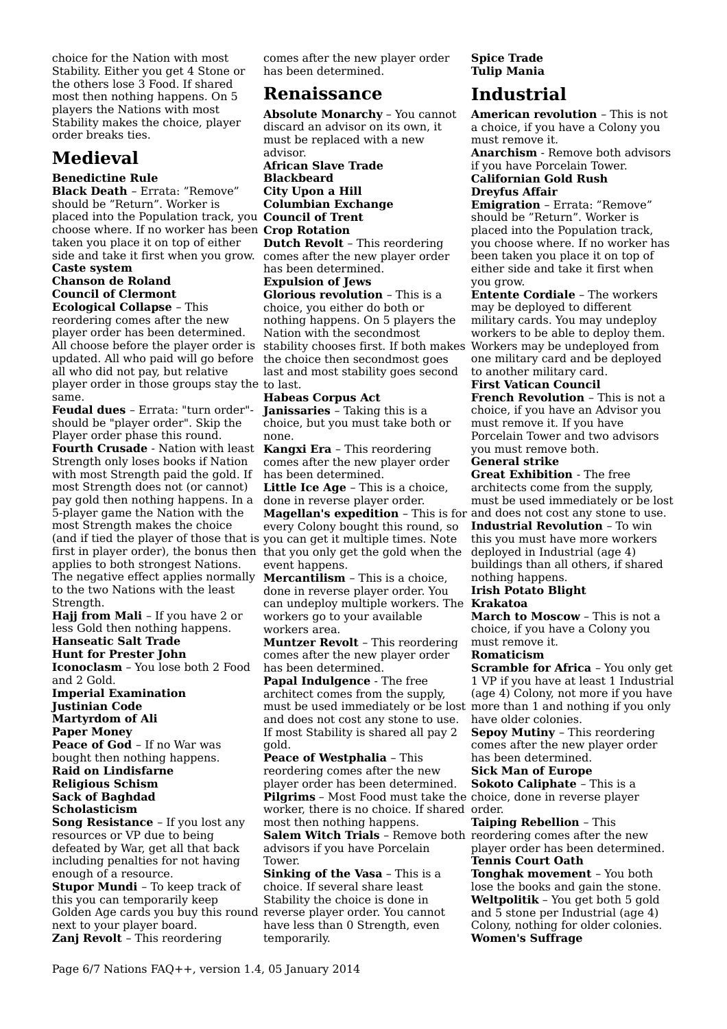choice for the Nation with most Stability. Either you get 4 Stone or the others lose 3 Food. If shared most then nothing happens. On 5 players the Nations with most Stability makes the choice, player order breaks ties.

### **Medieval**

#### **Benedictine Rule**

**Black Death** – Errata: "Remove" should be "Return". Worker is placed into the Population track, you **Council of Trent**  choose where. If no worker has been **Crop Rotation**  taken you place it on top of either side and take it first when you grow.

#### **Caste system Chanson de Roland Council of Clermont**

**Ecological Collapse** – This reordering comes after the new player order has been determined. All choose before the player order is stability chooses first. If both makes updated. All who paid will go before all who did not pay, but relative player order in those groups stay the to last. same.

**Feudal dues** – Errata: "turn order" should be "player order". Skip the Player order phase this round. **Fourth Crusade** - Nation with least Strength only loses books if Nation with most Strength paid the gold. If most Strength does not (or cannot) pay gold then nothing happens. In a 5-player game the Nation with the most Strength makes the choice (and if tied the player of those that is you can get it multiple times. Note first in player order), the bonus then that you only get the gold when the applies to both strongest Nations. The negative effect applies normally to the two Nations with the least Strength.

**Hajj from Mali** – If you have 2 or less Gold then nothing happens.

### **Hanseatic Salt Trade**

**Hunt for Prester John Iconoclasm** – You lose both 2 Food and 2 Gold.

**Imperial Examination Justinian Code Martyrdom of Ali Paper Money Peace of God** – If no War was bought then nothing happens. **Raid on Lindisfarne Religious Schism** 

#### **Sack of Baghdad Scholasticism**

**Song Resistance** – If you lost any resources or VP due to being defeated by War, get all that back including penalties for not having enough of a resource.

**Stupor Mundi** – To keep track of this you can temporarily keep Golden Age cards you buy this round reverse player order. You cannot next to your player board. **Zanj Revolt** – This reordering

comes after the new player order has been determined.

### **Renaissance**

**Absolute Monarchy** – You cannot discard an advisor on its own, it must be replaced with a new advisor. **African Slave Trade** 

**Blackbeard City Upon a Hill Columbian Exchange Dutch Revolt** – This reordering

comes after the new player order has been determined.

**Expulsion of Jews Glorious revolution** – This is a

choice, you either do both or nothing happens. On 5 players the Nation with the secondmost the choice then secondmost goes last and most stability goes second

#### **Habeas Corpus Act Janissaries** – Taking this is a

choice, but you must take both or none.

**Kangxi Era** – This reordering comes after the new player order has been determined.

**Little Ice Age** – This is a choice, done in reverse player order.

**Magellan's expedition** – This is for and does not cost any stone to use. every Colony bought this round, so event happens.

**Mercantilism** – This is a choice, done in reverse player order. You can undeploy multiple workers. The workers go to your available workers area.

**Muntzer Revolt** – This reordering comes after the new player order has been determined.

**Papal Indulgence** - The free architect comes from the supply, must be used immediately or be lost and does not cost any stone to use. If most Stability is shared all pay 2 gold.

**Peace of Westphalia** – This reordering comes after the new player order has been determined. **Pilgrims** – Most Food must take the choice, done in reverse player worker, there is no choice. If shared order. most then nothing happens. **Salem Witch Trials** – Remove both reordering comes after the new advisors if you have Porcelain Tower.

**Sinking of the Vasa** – This is a choice. If several share least Stability the choice is done in have less than 0 Strength, even temporarily.

#### **Spice Trade Tulip Mania**

### **Industrial**

**American revolution** – This is not a choice, if you have a Colony you must remove it.

**Anarchism** - Remove both advisors if you have Porcelain Tower. **Californian Gold Rush Dreyfus Affair** 

**Emigration** – Errata: "Remove" should be "Return". Worker is placed into the Population track, you choose where. If no worker has been taken you place it on top of either side and take it first when you grow.

**Entente Cordiale** – The workers may be deployed to different military cards. You may undeploy workers to be able to deploy them. Workers may be undeployed from one military card and be deployed to another military card.

**First Vatican Council** 

**French Revolution** – This is not a choice, if you have an Advisor you must remove it. If you have Porcelain Tower and two advisors you must remove both.

#### **General strike**

**Great Exhibition** - The free architects come from the supply, must be used immediately or be lost

**Industrial Revolution** – To win this you must have more workers deployed in Industrial (age 4) buildings than all others, if shared nothing happens.

#### **Irish Potato Blight**

#### **Krakatoa**

**March to Moscow** – This is not a choice, if you have a Colony you must remove it.

#### **Romaticism**

**Scramble for Africa** – You only get 1 VP if you have at least 1 Industrial (age 4) Colony, not more if you have more than 1 and nothing if you only have older colonies.

**Sepoy Mutiny** – This reordering comes after the new player order has been determined.

#### **Sick Man of Europe**

**Sokoto Caliphate** – This is a

**Taiping Rebellion** – This player order has been determined. **Tennis Court Oath Tonghak movement** – You both lose the books and gain the stone. **Weltpolitik** – You get both 5 gold and 5 stone per Industrial (age 4) Colony, nothing for older colonies. **Women's Suffrage**